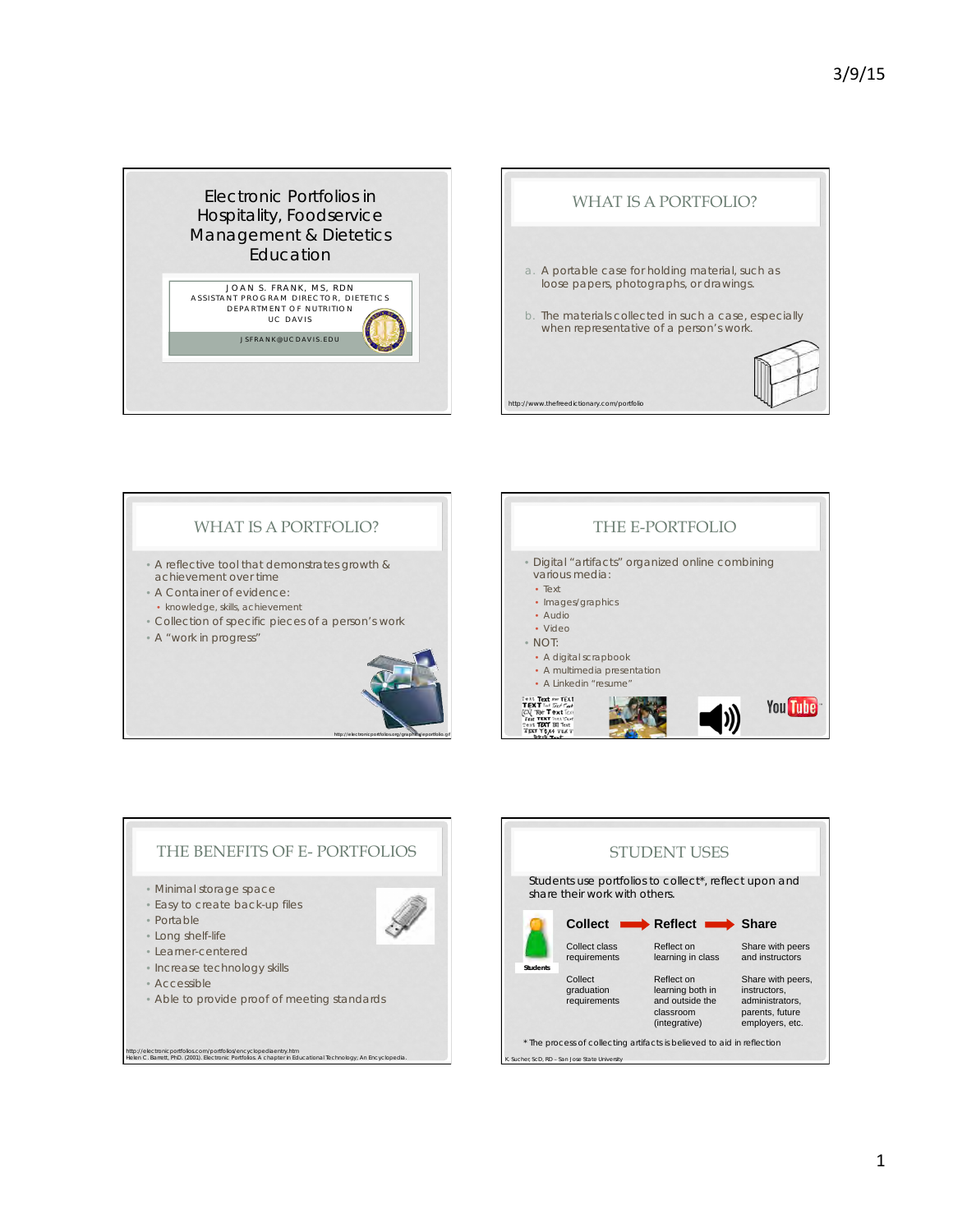





http://electronicportfolios.org/graphics/eportfolio.gif





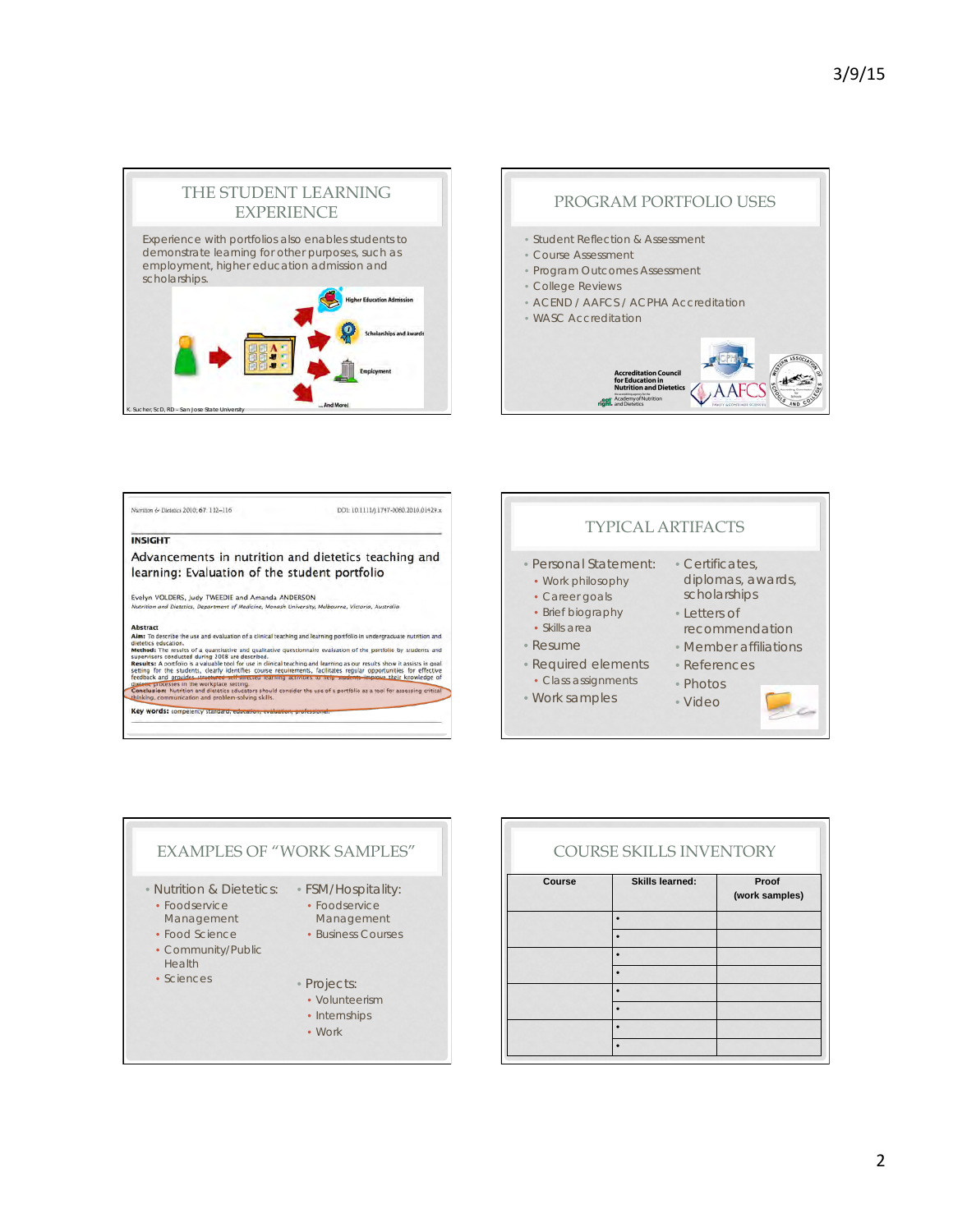





L



| <b>COURSE SKILLS INVENTORY</b> |                        |                         |  |  |  |  |
|--------------------------------|------------------------|-------------------------|--|--|--|--|
| Course                         | <b>Skills learned:</b> | Proof<br>(work samples) |  |  |  |  |
|                                |                        |                         |  |  |  |  |
|                                |                        |                         |  |  |  |  |
|                                |                        |                         |  |  |  |  |
|                                |                        |                         |  |  |  |  |
|                                |                        |                         |  |  |  |  |
|                                |                        |                         |  |  |  |  |